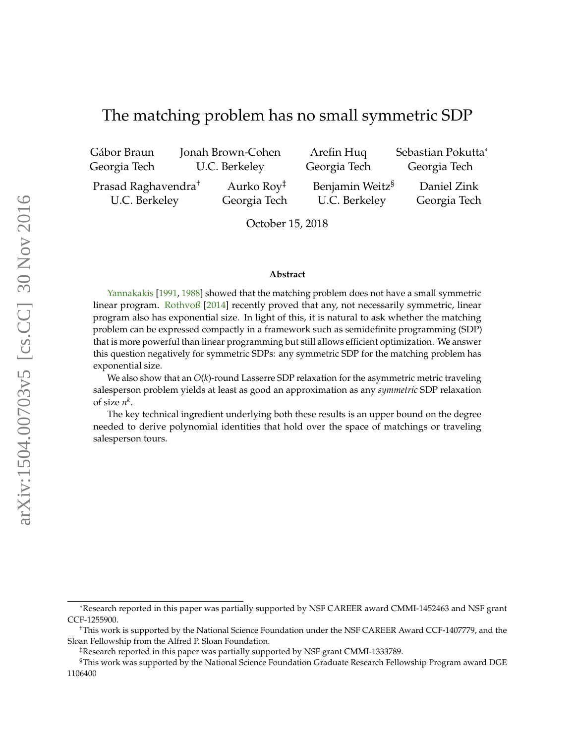# <span id="page-0-0"></span>The matching problem has no small symmetric SDP

Gábor Braun Georgia Tech

Jonah Brown-Cohen U.C. Berkeley

Arefin Huq Georgia Tech Sebastian Pokutta<sup>∗</sup> Georgia Tech

Prasad Raghavendra† U.C. Berkeley

Aurko Roy‡ Georgia Tech Benjamin Weitz§ U.C. Berkeley

Daniel Zink Georgia Tech

October 15, 2018

#### **Abstract**

[Yannakakis](#page-18-0) [\[1991,](#page-18-0) [1988\]](#page-18-1) showed that the matching problem does not have a small symmetric linear program. [Rothvoß](#page-18-2) [\[2014\]](#page-18-2) recently proved that any, not necessarily symmetric, linear program also has exponential size. In light of this, it is natural to ask whether the matching problem can be expressed compactly in a framework such as semidefinite programming (SDP) that is more powerful than linear programming but still allows efficient optimization. We answer this question negatively for symmetric SDPs: any symmetric SDP for the matching problem has exponential size.

We also show that an *O*(*k*)-round Lasserre SDP relaxation for the asymmetric metric traveling salesperson problem yields at least as good an approximation as any *symmetric* SDP relaxation of size  $n^k$ .

The key technical ingredient underlying both these results is an upper bound on the degree needed to derive polynomial identities that hold over the space of matchings or traveling salesperson tours.

<sup>∗</sup>Research reported in this paper was partially supported by NSF CAREER award CMMI-1452463 and NSF grant CCF-1255900.

<sup>†</sup>This work is supported by the National Science Foundation under the NSF CAREER Award CCF-1407779, and the Sloan Fellowship from the Alfred P. Sloan Foundation.

<sup>‡</sup>Research reported in this paper was partially supported by NSF grant CMMI-1333789.

<sup>§</sup>This work was supported by the National Science Foundation Graduate Research Fellowship Program award DGE 1106400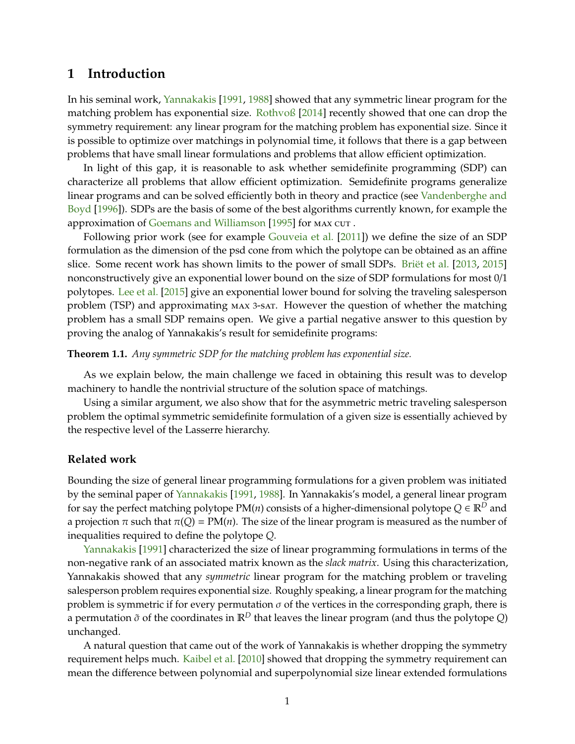### **1 Introduction**

In his seminal work, [Yannakakis](#page-18-0) [\[1991,](#page-18-0) [1988\]](#page-18-1) showed that any symmetric linear program for the matching problem has exponential size. [Rothvoß](#page-18-2) [\[2014\]](#page-18-2) recently showed that one can drop the symmetry requirement: any linear program for the matching problem has exponential size. Since it is possible to optimize over matchings in polynomial time, it follows that there is a gap between problems that have small linear formulations and problems that allow efficient optimization.

In light of this gap, it is reasonable to ask whether semidefinite programming (SDP) can characterize all problems that allow efficient optimization. Semidefinite programs generalize linear programs and can be solved efficiently both in theory and practice (see [Vandenberghe and](#page-18-3) [Boyd](#page-18-3) [\[1996\]](#page-18-3)). SDPs are the basis of some of the best algorithms currently known, for example the approximation of [Goemans and Williamson](#page-18-4) [\[1995\]](#page-18-4) for MAX CUT.

Following prior work (see for example [Gouveia et al.](#page-18-5) [\[2011\]](#page-18-5)) we define the size of an SDP formulation as the dimension of the psd cone from which the polytope can be obtained as an affine slice. Some recent work has shown limits to the power of small SDPs. [Briët et al.](#page-17-0) [\[2013,](#page-17-0) [2015\]](#page-17-1) nonconstructively give an exponential lower bound on the size of SDP formulations for most 0/1 polytopes. [Lee et al.](#page-18-6) [\[2015\]](#page-18-6) give an exponential lower bound for solving the traveling salesperson problem (TSP) and approximating max <sup>3</sup>-sat. However the question of whether the matching problem has a small SDP remains open. We give a partial negative answer to this question by proving the analog of Yannakakis's result for semidefinite programs:

**Theorem 1.1.** *Any symmetric SDP for the matching problem has exponential size.*

As we explain below, the main challenge we faced in obtaining this result was to develop machinery to handle the nontrivial structure of the solution space of matchings.

Using a similar argument, we also show that for the asymmetric metric traveling salesperson problem the optimal symmetric semidefinite formulation of a given size is essentially achieved by the respective level of the Lasserre hierarchy.

### **Related work**

Bounding the size of general linear programming formulations for a given problem was initiated by the seminal paper of [Yannakakis](#page-18-0) [\[1991,](#page-18-0) [1988\]](#page-18-1). In Yannakakis's model, a general linear program for say the perfect matching polytope  $PM(n)$  consists of a higher-dimensional polytope  $Q \in \mathbb{R}^D$  and a projection  $\pi$  such that  $\pi(Q) = PM(n)$ . The size of the linear program is measured as the number of inequalities required to define the polytope *Q*.

[Yannakakis](#page-18-0) [\[1991\]](#page-18-0) characterized the size of linear programming formulations in terms of the non-negative rank of an associated matrix known as the *slack matrix*. Using this characterization, Yannakakis showed that any *symmetric* linear program for the matching problem or traveling salesperson problem requires exponential size. Roughly speaking, a linear program for the matching problem is symmetric if for every permutation  $\sigma$  of the vertices in the corresponding graph, there is a permutation  $\tilde{\sigma}$  of the coordinates in  $\mathbb{R}^D$  that leaves the linear program (and thus the polytope *Q*) unchanged.

A natural question that came out of the work of Yannakakis is whether dropping the symmetry requirement helps much. [Kaibel et al.](#page-18-7) [\[2010\]](#page-18-7) showed that dropping the symmetry requirement can mean the difference between polynomial and superpolynomial size linear extended formulations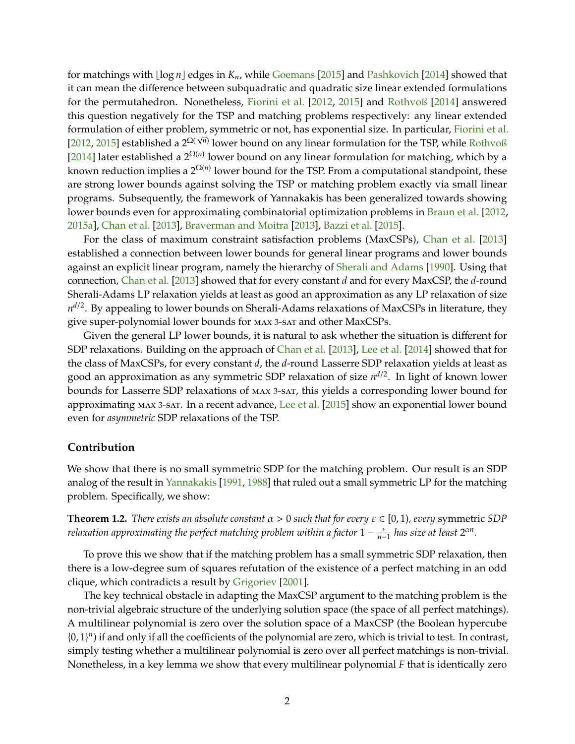<span id="page-2-0"></span>for matchings with  $\lfloor \log n \rfloor$  edges in  $K_n$ , while [Goemans](#page-18-8) [\[2015\]](#page-18-8) and [Pashkovich](#page-18-9) [\[2014\]](#page-18-9) showed that it can mean the difference between subquadratic and quadratic size linear extended formulations for the permutahedron. Nonetheless, [Fiorini et al.](#page-18-10) [\[2012,](#page-18-10) [2015\]](#page-18-11) and [Rothvoß](#page-18-2) [\[2014\]](#page-18-2) answered this question negatively for the TSP and matching problems respectively: any linear extended formulation of either problem, symmetric or not, has exponential size. In particular, [Fiorini et al.](#page-18-10) √ [\[2012,](#page-18-10) [2015\]](#page-18-11) established a 2<sup> $\Omega(\sqrt{n})$ </sup> lower bound on any linear formulation for the TSP, while [Rothvoß](#page-18-2) [\[2014\]](#page-18-2) later established a  $2^{\Omega(n)}$  lower bound on any linear formulation for matching, which by a known reduction implies a  $2^{\Omega(n)}$  lower bound for the TSP. From a computational standpoint*,* these are strong lower bounds against solving the TSP or matching problem exactly via small linear programs. Subsequently, the framework of Yannakakis has been generalized towards showing lower bounds even for approximating combinatorial optimization problems in [Braun et al.](#page-17-2) [\[2012,](#page-17-2) [2015a\]](#page-17-3), [Chan et al.](#page-17-4) [\[2013\]](#page-17-4), [Braverman and Moitra](#page-17-5) [\[2013\]](#page-17-5), [Bazzi et al.](#page-17-6) [\[2015\]](#page-17-6).

For the class of maximum constraint satisfaction problems (MaxCSPs), [Chan et al.](#page-17-4) [\[2013\]](#page-17-4) established a connection between lower bounds for general linear programs and lower bounds against an explicit linear program, namely the hierarchy of [Sherali and Adams](#page-18-12) [\[1990\]](#page-18-12). Using that connection, [Chan et al.](#page-17-4) [\[2013\]](#page-17-4) showed that for every constant *d* and for every MaxCSP, the *d*-round Sherali-Adams LP relaxation yields at least as good an approximation as any LP relaxation of size  $n^{d/2}$ . By appealing to lower bounds on Sherali-Adams relaxations of MaxCSPs in literature*,* they give super-polynomial lower bounds for max <sup>3</sup>-sat and other MaxCSPs.

Given the general LP lower bounds, it is natural to ask whether the situation is different for SDP relaxations. Building on the approach of [Chan et al.](#page-17-4) [\[2013\]](#page-17-4), [Lee et al.](#page-18-13) [\[2014\]](#page-18-13) showed that for the class of MaxCSPs, for every constant *d*, the *d*-round Lasserre SDP relaxation yields at least as good an approximation as any symmetric SDP relaxation of size  $n^{d/2}$ . In light of known lower bounds for Lasserre SDP relaxations of max <sup>3</sup>-sat, this yields a corresponding lower bound for approximating max <sup>3</sup>-sat. In a recent advance, [Lee et al.](#page-18-6) [\[2015\]](#page-18-6) show an exponential lower bound even for *asymmetric* SDP relaxations of the TSP.

#### **Contribution**

We show that there is no small symmetric SDP for the matching problem. Our result is an SDP analog of the result in [Yannakakis](#page-18-0) [\[1991,](#page-18-0) [1988\]](#page-18-1) that ruled out a small symmetric LP for the matching problem. Specifically, we show:

**Theorem 1.2.** *There exists an absolute constant*  $\alpha > 0$  *such that for every*  $\varepsilon \in [0, 1)$ *, every* symmetric *SDP*  $r$ elaxation approximating the perfect matching problem within a factor  $1-\frac{\varepsilon}{n-1}$  has size at least  $2^{\alpha n}.$ 

To prove this we show that if the matching problem has a small symmetric SDP relaxation, then there is a low-degree sum of squares refutation of the existence of a perfect matching in an odd clique, which contradicts a result by [Grigoriev](#page-18-14) [\[2001\]](#page-18-14).

The key technical obstacle in adapting the MaxCSP argument to the matching problem is the non-trivial algebraic structure of the underlying solution space (the space of all perfect matchings). A multilinear polynomial is zero over the solution space of a MaxCSP (the Boolean hypercube {0, 1} *n* ) if and only if all the coefficients of the polynomial are zero, which is trivial to test. In contrast, simply testing whether a multilinear polynomial is zero over all perfect matchings is non-trivial. Nonetheless, in a key lemma we show that every multilinear polynomial *F* that is identically zero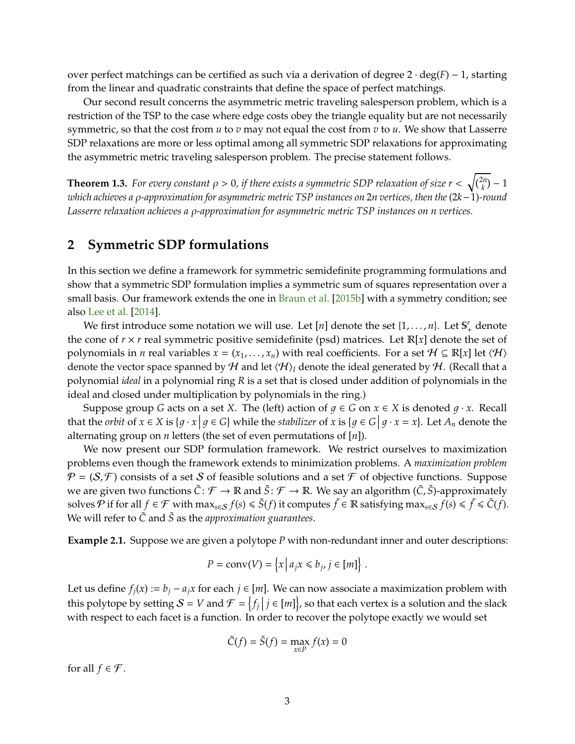<span id="page-3-1"></span>over perfect matchings can be certified as such via a derivation of degree 2 · deg(*F*) − 1, starting from the linear and quadratic constraints that define the space of perfect matchings.

Our second result concerns the asymmetric metric traveling salesperson problem, which is a restriction of the TSP to the case where edge costs obey the triangle equality but are not necessarily symmetric, so that the cost from *u* to *v* may not equal the cost from *v* to *u*. We show that Lasserre SDP relaxations are more or less optimal among all symmetric SDP relaxations for approximating the asymmetric metric traveling salesperson problem. The precise statement follows.

**Theorem 1.3.** *For every constant*  $\rho > 0$ *, if there exists a symmetric SDP relaxation of size*  $r < \sqrt{\binom{2n}{k}} - 1$ *which achieves a* ρ*-approximation for asymmetric metric TSP instances on* 2*n vertices, then the* (2*k*−1)*-round Lasserre relaxation achieves a* ρ*-approximation for asymmetric metric TSP instances on n vertices.*

## <span id="page-3-0"></span>**2 Symmetric SDP formulations**

In this section we define a framework for symmetric semidefinite programming formulations and show that a symmetric SDP formulation implies a symmetric sum of squares representation over a small basis. Our framework extends the one in [Braun et al.](#page-17-7) [\[2015b\]](#page-17-7) with a symmetry condition; see also [Lee et al.](#page-18-13) [\[2014\]](#page-18-13).

We first introduce some notation we will use. Let  $[n]$  denote the set  $\{1, \ldots, n\}$ . Let  $\mathbb{S}^r_+$  denote the cone of  $r \times r$  real symmetric positive semidefinite (psd) matrices. Let  $\mathbb{R}[x]$  denote the set of polynomials in *n* real variables  $x = (x_1, \ldots, x_n)$  with real coefficients. For a set  $H \subseteq \mathbb{R}[x]$  let  $\langle H \rangle$ denote the vector space spanned by H and let  $\langle H \rangle$ <sub>*I*</sub> denote the ideal generated by H. (Recall that a polynomial *ideal* in a polynomial ring *R* is a set that is closed under addition of polynomials in the ideal and closed under multiplication by polynomials in the ring.)

Suppose group *G* acts on a set *X*. The (left) action of  $g \in G$  on  $x \in X$  is denoted  $g \cdot x$ . Recall that the *orbit* of  $x \in X$  is  $\{g \cdot x \mid g \in G\}$  while the *stabilizer* of  $x$  is  $\{g \in G \mid g \cdot x = x\}$ . Let  $A_n$  denote the alternating group on *n* letters (the set of even permutations of [*n*]).

We now present our SDP formulation framework. We restrict ourselves to maximization problems even though the framework extends to minimization problems. A *maximization problem*  $\mathcal{P} = (\mathcal{S}, \mathcal{F})$  consists of a set S of feasible solutions and a set  $\mathcal F$  of objective functions. Suppose we are given two functions  $\tilde{C}: \mathcal{F} \to \mathbb{R}$  and  $\tilde{S}: \mathcal{F} \to \mathbb{R}$ . We say an algorithm  $(\tilde{C}, \tilde{S})$ -approximately solves  $\mathcal P$  if for all  $f \in \mathcal F$  with  $\max_{s \in \mathcal S} f(s) \leqslant \tilde S(f)$  it computes  $\tilde f \in \mathbb R$  satisfying  $\max_{s \in \mathcal S} f(s) \leqslant \tilde f \leqslant \tilde C(f)$ . We will refer to *C*˜ and *S*˜ as the *approximation guarantees*.

**Example 2.1.** Suppose we are given a polytope *P* with non-redundant inner and outer descriptions:

$$
P = \text{conv}(V) = \left\{ x \, \middle| \, a_j x \leq b_j, j \in [m] \right\}.
$$

Let us define  $f_i(x) := b_i - a_i x$  for each  $j \in [m]$ . We can now associate a maximization problem with this polytope by setting  $S = V$  and  $\mathcal{F} = \{f_j | j \in [m]\}$ , so that each vertex is a solution and the slack with respect to each facet is a function. In order to recover the polytope exactly we would set

$$
\tilde{C}(f) = \tilde{S}(f) = \max_{x \in P} f(x) = 0
$$

for all  $f \in \mathcal{F}$ .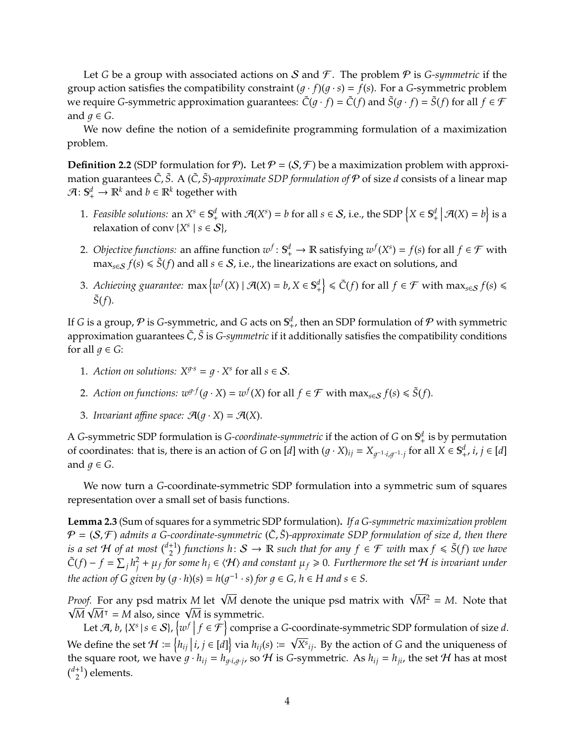Let *G* be a group with associated actions on *S* and *F*. The problem *P* is *G-symmetric* if the group action satisfies the compatibility constraint  $(q \cdot f)(q \cdot s) = f(s)$ . For a *G*-symmetric problem we require *G*-symmetric approximation guarantees:  $\tilde{C}(q \cdot f) = \tilde{C}(f)$  and  $\tilde{S}(q \cdot f) = \tilde{S}(f)$  for all  $f \in \mathcal{F}$ and  $q \in G$ .

We now define the notion of a semidefinite programming formulation of a maximization problem.

**Definition 2.2** (SDP formulation for  $\mathcal{P}$ ). Let  $\mathcal{P} = (S, \mathcal{F})$  be a maximization problem with approximation guarantees  $\tilde{C}$ ,  $\tilde{S}$ . A ( $\tilde{C}$ ,  $\tilde{S}$ )*-approximate SDP formulation of*  $P$  of size *d* consists of a linear map  $\mathcal{A} \colon \mathbb{S}^{d}_{+} \to \mathbb{R}^{k}$  and  $b \in \mathbb{R}^{k}$  together with

- 1. *Feasible solutions:* an  $X^s \in \mathbb{S}^d_+$  with  $\mathcal{A}(X^s) = b$  for all  $s \in \mathcal{S}$ , i.e., the SDP  $\{X \in \mathbb{S}^d_+ | \mathcal{A}(X) = b\}$  is a relaxation of conv  $\{X^s \mid s \in S\}$ ,
- 2. *Objective functions:* an affine function  $w^f : \mathbb{S}_+^d \to \mathbb{R}$  satisfying  $w^f(X^s) = f(s)$  for all  $f \in \mathcal{F}$  with max<sub>*s∈S*</sub>  $f(s)$  ≤  $\tilde{S}(f)$  and all  $s \in S$ , i.e., the linearizations are exact on solutions, and
- 3. Achieving guarantee:  $\max \{ w^f(X) \mid \mathcal{A}(X) = b, X \in \mathbb{S}^d_+ \} \leq \tilde{C}(f) \text{ for all } f \in \mathcal{F} \text{ with } \max_{s \in \mathcal{S}} f(s) \leq \epsilon \leq \tilde{C}(f) \text{ for all } f \in \mathcal{F} \text{ with } \max_{s \in \mathcal{S}} f(s) \leq \epsilon \leq \tilde{C}(f) \text{ for all } f \in \mathcal{F} \text{ with } \max_{s \in \mathcal{S}} f(s) \leq \epsilon \leq \tilde$  $\tilde{S}(f)$ .

If *G* is a group,  $\mathcal P$  is *G*-symmetric, and *G* acts on  $\mathbb S^d_+$ , then an SDP formulation of  $\mathcal P$  with symmetric approximation guarantees  $\tilde{C}$ ,  $\tilde{S}$  is *G-symmetric* if it additionally satisfies the compatibility conditions for all  $q \in G$ :

- 1. *Action on solutions:*  $X^{g \cdot s} = g \cdot X^s$  for all  $s \in S$ .
- 2. *Action on functions:*  $w^{g \cdot f}(g \cdot X) = w^f(X)$  for all  $f \in \mathcal{F}$  with  $\max_{s \in \mathcal{S}} f(s) \leq \tilde{S}(f)$ .
- 3. *Invariant affine space:*  $\mathcal{A}(q \cdot X) = \mathcal{A}(X)$ .

A *G*-symmetric SDP formulation is *G-coordinate-symmetric* if the action of *G* on  $\mathbb{S}^d_+$  is by permutation of coordinates: that is, there is an action of *G* on [*d*] with  $(g \cdot X)_{ij} = X_{g^{-1} \cdot i, g^{-1} \cdot j}$  for all  $X \in S^d_+, i, j \in [d]$ and  $g \in G$ .

We now turn a *G*-coordinate-symmetric SDP formulation into a symmetric sum of squares representation over a small set of basis functions.

<span id="page-4-0"></span>**Lemma 2.3** (Sum of squares for a symmetric SDP formulation)**.** *If a G-symmetric maximization problem* P = (S, F ) *admits a G-coordinate-symmetric* (*C*˜, *S*˜)*-approximate SDP formulation of size d, then there is a set*  $H$  *of at most*  $\binom{d+1}{2}$  functions  $h: S \to \mathbb{R}$  such that for any  $f \in \mathcal{F}$  with  $\max f \leqslant \tilde{S}(f)$  we have  $\tilde{C}(f) - f = \sum_j h_j^2$  $\frac{d}{dt^j} + \mu_f$  for some  $h_j \in \langle \mathcal{H} \rangle$  and constant  $\mu_f \geqslant 0$ . Furthermore the set  $\mathcal H$  is invariant under *the action of G given by*  $(g \cdot h)(s) = h(g^{-1} \cdot s)$  *for*  $g \in G$ *,*  $h \in H$  *and*  $s \in S$ *.* 

*Proof.* For any psd matrix *M* let  $\sqrt{M}$  denote the unique psd matrix with  $\sqrt{M^2} = M$ . Note that *M*  $\sqrt{M}$ <sup>T</sup> = *M* also, since  $\sqrt{M}$  is symmetric.

Let  $\mathcal{A}, b, \{X^s \mid s \in \mathcal{S}\}, \{w^f \mid f \in \mathcal{F}\}$  comprise a *G*-coordinate-symmetric SDP formulation of size *d*. We define the set  $\mathcal{H} := \left\{ h_{ij} \, | \, i, j \in [d] \right\}$  via  $h_{ij}(s) := \sqrt{X^s}_{ij}$ . By the action of *G* and the uniqueness of the square root, we have  $g \cdot h_{ij} = h_{g \cdot i, g \cdot j}$ , so H is *G*-symmetric. As  $h_{ij} = h_{ji}$ , the set H has at most  $\binom{d+1}{2}$  elements.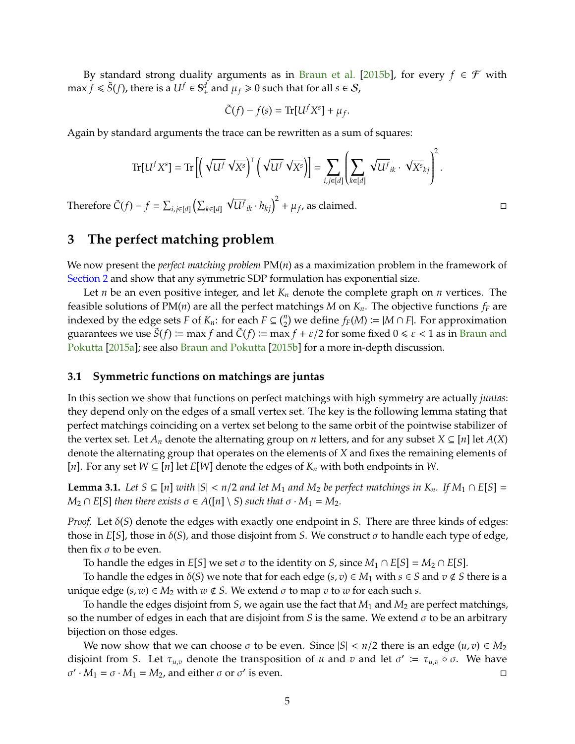<span id="page-5-1"></span>By standard strong duality arguments as in [Braun et al.](#page-17-7) [\[2015b\]](#page-17-7), for every  $f \in \mathcal{F}$  with  $\max f \leqslant \tilde{S}(f)$ , there is a  $U^f \in S^d_+$  and  $\mu_f \geqslant 0$  such that for all  $s \in \mathcal{S}$ ,

$$
\tilde{C}(f) - f(s) = \text{Tr}[U^f X^s] + \mu_f.
$$

Again by standard arguments the trace can be rewritten as a sum of squares:

$$
\operatorname{Tr}[U^f X^s] = \operatorname{Tr}\left[ \left( \sqrt{U^f} \sqrt{X^s} \right)^{\mathsf{T}} \left( \sqrt{U^f} \sqrt{X^s} \right) \right] = \sum_{i,j \in [d]} \left( \sum_{k \in [d]} \sqrt{U^f}_{ik} \cdot \sqrt{X^s}_{kj} \right)^2
$$

Therefore  $\tilde{C}(f) - f = \sum_{i,j \in [d]} (\sum_{k \in [d]}$ √  $\overline{U^f}_{ik} \cdot h_{kj}$ <sup>2</sup> +  $\mu_f$ , as claimed.

# **3 The perfect matching problem**

We now present the *perfect matching problem* PM(*n*) as a maximization problem in the framework of [Section 2](#page-3-0) and show that any symmetric SDP formulation has exponential size.

Let *n* be an even positive integer, and let *K<sup>n</sup>* denote the complete graph on *n* vertices. The feasible solutions of PM( $n$ ) are all the perfect matchings *M* on  $K_n$ . The objective functions  $f_F$  are indexed by the edge sets *F* of  $K_n$ : for each  $F \subseteq {n \choose 2}$  we define  $f_F(M) \coloneqq |M \cap F|$ . For approximation guarantees we use  $\hat{S}(f) := \max f$  and  $\hat{C}(f) := \max f + \varepsilon/2$  for some fixed  $0 \le \varepsilon < 1$  as in [Braun and](#page-17-8) [Pokutta](#page-17-8) [\[2015a\]](#page-17-8); see also [Braun and Pokutta](#page-17-9) [\[2015b\]](#page-17-9) for a more in-depth discussion.

#### **3.1 Symmetric functions on matchings are juntas**

In this section we show that functions on perfect matchings with high symmetry are actually *juntas*: they depend only on the edges of a small vertex set. The key is the following lemma stating that perfect matchings coinciding on a vertex set belong to the same orbit of the pointwise stabilizer of the vertex set. Let  $A_n$  denote the alternating group on *n* letters, and for any subset  $X \subseteq [n]$  let  $A(X)$ denote the alternating group that operates on the elements of *X* and fixes the remaining elements of [*n*]. For any set *W* ⊆ [*n*] let *E*[*W*] denote the edges of *K<sup>n</sup>* with both endpoints in *W*.

<span id="page-5-0"></span>**Lemma 3.1.** *Let S* ⊆ [*n*] *with*  $|S| < n/2$  *and let*  $M_1$  *and*  $M_2$  *be perfect matchings in*  $K_n$ *. If*  $M_1 ∩ E[S] =$  $M_2 \cap E[S]$  *then there exists*  $\sigma \in A([n] \setminus S)$  *such that*  $\sigma \cdot M_1 = M_2$ *.* 

*Proof.* Let δ(*S*) denote the edges with exactly one endpoint in *S*. There are three kinds of edges: those in *E*[*S*], those in δ(*S*), and those disjoint from *S*. We construct σ to handle each type of edge, then fix  $\sigma$  to be even.

To handle the edges in *E*[*S*] we set  $\sigma$  to the identity on *S*, since  $M_1 \cap E[S] = M_2 \cap E[S]$ .

To handle the edges in  $\delta(S)$  we note that for each edge  $(s, v) \in M_1$  with  $s \in S$  and  $v \notin S$  there is a unique edge  $(s, w) \in M_2$  with  $w \notin S$ . We extend  $\sigma$  to map  $v$  to  $w$  for each such  $s$ .

To handle the edges disjoint from *S*, we again use the fact that *M*<sup>1</sup> and *M*<sup>2</sup> are perfect matchings, so the number of edges in each that are disjoint from *S* is the same. We extend  $\sigma$  to be an arbitrary bijection on those edges.

We now show that we can choose  $\sigma$  to be even. Since  $|S| < n/2$  there is an edge  $(u, v) \in M_2$ disjoint from *S*. Let  $\tau_{u,v}$  denote the transposition of *u* and *v* and let  $\sigma' := \tau_{u,v} \circ \sigma$ . We have  $\sigma' \cdot M_1 = \sigma \cdot M_1 = M_2$ , and either  $\sigma$  or  $\sigma'$  is even.

.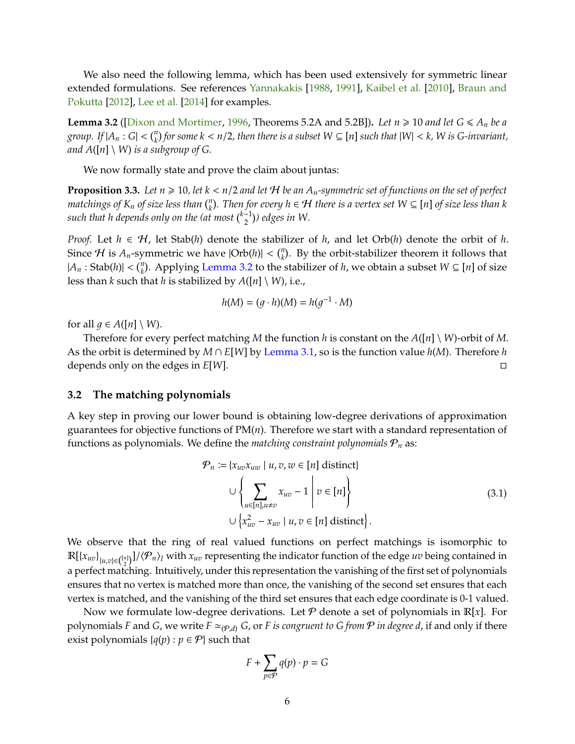<span id="page-6-2"></span>We also need the following lemma, which has been used extensively for symmetric linear extended formulations. See references [Yannakakis](#page-18-1) [\[1988,](#page-18-1) [1991\]](#page-18-0), [Kaibel et al.](#page-18-7) [\[2010\]](#page-18-7), [Braun and](#page-17-10) [Pokutta](#page-17-10) [\[2012\]](#page-17-10), [Lee et al.](#page-18-13) [\[2014\]](#page-18-13) for examples.

<span id="page-6-0"></span>**Lemma 3.2** ([\[Dixon and Mortimer,](#page-17-11) [1996,](#page-17-11) Theorems 5.2A and 5.2B]). *Let*  $n \ge 10$  *and let*  $G \le A_n$  *be a* group. If  $|A_n:G|<\binom{n}{k}$  for some  $k < n/2$ , then there is a subset  $W\subseteq [n]$  such that  $|W|< k$ , W is G-invariant, *and*  $A([n] \setminus W)$  *is a subgroup of G.* 

We now formally state and prove the claim about juntas:

<span id="page-6-1"></span>**Proposition 3.3.** Let  $n \geq 10$ , let  $k < n/2$  and let H be an  $A_n$ -symmetric set of functions on the set of perfect *matchings of*  $K_n$  *of size less than*  $\binom{n}{k}$ . Then for every  $h \in H$  there is a vertex set  $W \subseteq [n]$  of size less than k such that h depends only on the  $\left(\frac{N}{2}\right)$  edges in W.

*Proof.* Let  $h \in H$ , let Stab(*h*) denote the stabilizer of *h*, and let Orb(*h*) denote the orbit of *h*. Since  $H$  is  $A_n$ -symmetric we have  $|Orb(h)| < \binom{n}{k}$ . By the orbit-stabilizer theorem it follows that  $|A_n$ : Stab(*h*)| < ( ${}^n_k$ ). Applying [Lemma 3.2](#page-6-0) to the stabilizer of *h*, we obtain a subset  $W \subseteq [n]$  of size less than *k* such that *h* is stabilized by  $A([n] \setminus W)$ , i.e.,

$$
h(M) = (g \cdot h)(M) = h(g^{-1} \cdot M)
$$

for all  $q \in A([n] \setminus W)$ .

Therefore for every perfect matching *M* the function *h* is constant on the  $A([n] \setminus W)$ -orbit of *M*. As the orbit is determined by *M* ∩ *E*[*W*] by [Lemma 3.1,](#page-5-0) so is the function value *h*(*M*). Therefore *h* depends only on the edges in *E*[*W*].

#### **3.2 The matching polynomials**

A key step in proving our lower bound is obtaining low-degree derivations of approximation guarantees for objective functions of PM(*n*). Therefore we start with a standard representation of functions as polynomials. We define the *matching constraint polynomials*  $P_n$  as:

$$
\mathcal{P}_n := \{x_{uv}x_{uw} \mid u, v, w \in [n] \text{ distinct}\}
$$
\n
$$
\cup \left\{\sum_{u \in [n], u \neq v} x_{uv} - 1 \middle| v \in [n] \right\}
$$
\n
$$
\cup \left\{x_{uv}^2 - x_{uv} \mid u, v \in [n] \text{ distinct}\right\}. \tag{3.1}
$$

We observe that the ring of real valued functions on perfect matchings is isomorphic to  $\mathbb{R}[\{x_{uv}\}_{\{u,v\}\in\binom{[n]}{2}}]/\langle\mathcal{P}_n\rangle_I$  with  $x_{uv}$  representing the indicator function of the edge *uv* being contained in a perfect matching. Intuitively, under this representation the vanishing of the first set of polynomials ensures that no vertex is matched more than once, the vanishing of the second set ensures that each vertex is matched, and the vanishing of the third set ensures that each edge coordinate is 0-1 valued.

Now we formulate low-degree derivations. Let  $P$  denote a set of polynomials in  $\mathbb{R}[x]$ . For polynomials *F* and *G*, we write  $F \simeq_{(\mathcal{P},d)} G$ , or *F is congruent to G from*  $\mathcal P$  *in degree d*, if and only if there exist polynomials { $q(p)$  :  $p \in \mathcal{P}$ } such that

$$
F + \sum_{p \in \mathcal{P}} q(p) \cdot p = G
$$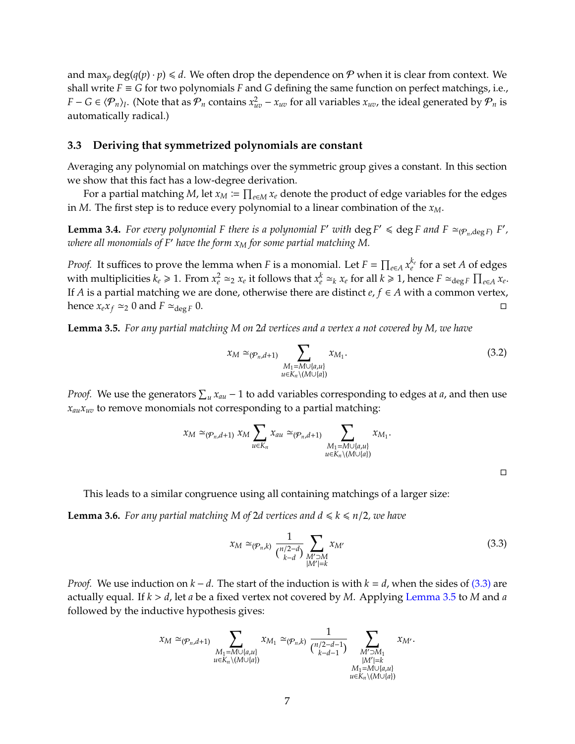and max<sub>*p*</sub> deg( $q(p) \cdot p$ )  $\leq d$ . We often drop the dependence on P when it is clear from context. We shall write  $F \equiv G$  for two polynomials  $F$  and  $G$  defining the same function on perfect matchings, i.e., *F* − *G* ∈  $\langle P_n \rangle$ <sub>*I*</sub>. (Note that as  $P_n$  contains  $x_{uv}^2 - x_{uv}$  for all variables  $x_{uv}$ , the ideal generated by  $P_n$  is automatically radical.)

#### **3.3 Deriving that symmetrized polynomials are constant**

Averaging any polynomial on matchings over the symmetric group gives a constant. In this section we show that this fact has a low-degree derivation.

For a partial matching M, let  $x_M \coloneqq \prod_{e \in M} x_e$  denote the product of edge variables for the edges in *M*. The first step is to reduce every polynomial to a linear combination of the *xM*.

<span id="page-7-2"></span>**Lemma 3.4.** For every polynomial F there is a polynomial F' with  $\deg F' \leq \deg F$  and  $F \simeq_{(\mathcal{P}_n, \deg F)} F'$ , *where all monomials of F' have the form*  $x_M$  *for some partial matching M.* 

*Proof.* It suffices to prove the lemma when *F* is a monomial. Let  $F = \prod_{e \in A} x_e^{k_e}$  for a set *A* of edges with multiplicities  $k_e \ge 1$ . From  $x_e^2 \simeq_2 x_e$  it follows that  $x_e^k \simeq_k x_e$  for all  $k \ge 1$ , hence  $F \simeq_{\deg F} \prod_{e \in A} x_e$ . If *A* is a partial matching we are done, otherwise there are distinct  $e, f \in A$  with a common vertex, hence  $x_e x_f \simeq_2 0$  and  $F \simeq_{\text{deg } F} 0$ .

<span id="page-7-1"></span>**Lemma 3.5.** *For any partial matching M on* 2*d vertices and a vertex a not covered by M, we have*

$$
x_M \simeq_{(\mathcal{P}_n, d+1)} \sum_{\substack{M_1 = M \cup \{a, u\} \\ u \in K_n \setminus (M \cup \{a\})}} x_{M_1}.
$$
\n(3.2)

*Proof.* We use the generators  $\sum_u x_{au} - 1$  to add variables corresponding to edges at *a*, and then use  $x_{\alpha} x_{\alpha}$  to remove monomials not corresponding to a partial matching:

$$
x_M \simeq_{(\mathcal{P}_n,d+1)} x_M \sum_{u \in K_n} x_{au} \simeq_{(\mathcal{P}_n,d+1)} \sum_{\substack{M_1 = M \cup \{a,u\} \\ u \in K_n \setminus (M \cup \{a\})}} x_{M_1}.
$$

<span id="page-7-0"></span> $\Box$ 

This leads to a similar congruence using all containing matchings of a larger size:

<span id="page-7-3"></span>**Lemma 3.6.** For any partial matching M of 2d vertices and  $d \le k \le n/2$ , we have

$$
x_M \simeq_{(\mathcal{P}_n,k)} \frac{1}{\binom{n/2-d}{k-d}} \sum_{\substack{M' \supset M \\ |M'|=k}} x_{M'} \tag{3.3}
$$

*Proof.* We use induction on *k* − *d*. The start of the induction is with *k* = *d*, when the sides of [\(3.3\)](#page-7-0) are actually equal. If *k* > *d*, let *a* be a fixed vertex not covered by *M*. Applying [Lemma 3.5](#page-7-1) to *M* and *a* followed by the inductive hypothesis gives:

$$
x_M \simeq_{(\mathcal{P}_n,d+1)} \sum_{\substack{M_1=M\cup\{a,u\} \\ u\in K_n\backslash(M\cup\{a\})}} x_{M_1} \simeq_{(\mathcal{P}_n,k)} \frac{1}{\binom{n/2-d-1}{k-d-1}} \sum_{\substack{M'>M_1 \\ |M'|=k \\ M_1=M\cup\{a,u\} \\ u\in K_n\backslash(M\cup\{a\})}} x_{M'}.
$$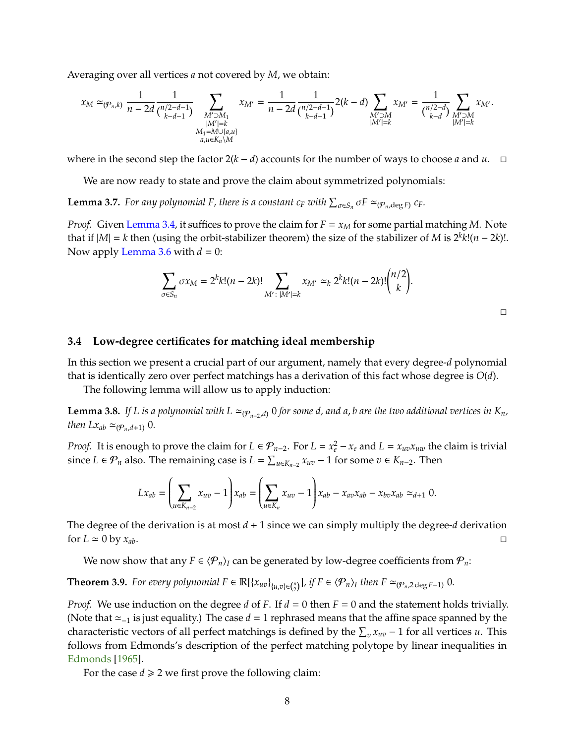<span id="page-8-4"></span>Averaging over all vertices *a* not covered by *M*, we obtain:

$$
x_M \simeq_{(\mathcal{P}_n,k)} \frac{1}{n-2d} \frac{1}{\binom{n/2-d-1}{k-d-1}} \sum_{\substack{M' \supset M_1 \\ |M'|=k \\ M_1=M \cup \{a,u\} \\ a,u \in K_n \setminus M}} x_{M'} = \frac{1}{n-2d} \frac{1}{\binom{n/2-d-1}{k-d-1}} 2(k-d) \sum_{\substack{M' \supset M \\ |M'|=k \\ |M'|=k}} x_{M'} = \frac{1}{\binom{n/2-d}{k-d}} \sum_{\substack{M' \supset M \\ |M'|=k \\ |M'|=k}} x_{M'}.
$$

where in the second step the factor  $2(k - d)$  accounts for the number of ways to choose *a* and *u*. □

We are now ready to state and prove the claim about symmetrized polynomials:

<span id="page-8-1"></span>**Lemma 3.7.** For any polynomial F, there is a constant  $c_F$  with  $\sum_{\sigma \in S_n} \sigma F \simeq_{(\mathcal{P}_n,\deg F)} c_F$ .

*Proof.* Given [Lemma 3.4,](#page-7-2) it suffices to prove the claim for  $F = x_M$  for some partial matching *M*. Note that if  $|M| = k$  then (using the orbit-stabilizer theorem) the size of the stabilizer of *M* is  $2^k k!(n - 2k)!$ . Now apply [Lemma 3.6](#page-7-3) with  $d = 0$ :

$$
\sum_{\sigma \in S_n} \sigma x_M = 2^k k! (n - 2k)! \sum_{M' : |M'| = k} x_{M'} \simeq_k 2^k k! (n - 2k)! {n/2 \choose k}.
$$

 $\Box$ 

#### <span id="page-8-3"></span>**3.4 Low-degree certificates for matching ideal membership**

In this section we present a crucial part of our argument, namely that every degree-*d* polynomial that is identically zero over perfect matchings has a derivation of this fact whose degree is *O*(*d*).

The following lemma will allow us to apply induction:

<span id="page-8-0"></span>**Lemma 3.8.** *If L is a polynomial with*  $L \simeq_{(\mathcal{P}_{n-2},d)} 0$  *for some d, and a, b are the two additional vertices in*  $K_n$ *, then*  $Lx_{ab} \simeq (\mathcal{P}_n, d+1)$  0*.* 

*Proof.* It is enough to prove the claim for  $L \in \mathcal{P}_{n-2}$ . For  $L = x_e^2 - x_e$  and  $L = x_{uv}x_{uw}$  the claim is trivial since *L* ∈  $\mathcal{P}_n$  also. The remaining case is *L* =  $\sum_{u \in K_{n-2}} x_{uv} - 1$  for some  $v \in K_{n-2}$ . Then

$$
Lx_{ab} = \left(\sum_{u \in K_{n-2}} x_{uv} - 1\right) x_{ab} = \left(\sum_{u \in K_n} x_{uv} - 1\right) x_{ab} - x_{av} x_{ab} - x_{bv} x_{ab} \simeq_{d+1} 0.
$$

The degree of the derivation is at most  $d + 1$  since we can simply multiply the degree- $d$  derivation for  $L \approx 0$  by  $x_{ab}$ .

We now show that any  $F \in \langle P_n \rangle$ *I* can be generated by low-degree coefficients from  $P_n$ :

<span id="page-8-2"></span>**Theorem 3.9.** For every polynomial  $F \in \mathbb{R}[\{x_{uv}\}_{\{u,v\}\in\binom{n}{2}}]$ , if  $F \in \langle \mathcal{P}_n \rangle_I$  then  $F \simeq_{(\mathcal{P}_n,2 \deg F-1)} 0$ .

*Proof.* We use induction on the degree *d* of *F*. If *d* = 0 then *F* = 0 and the statement holds trivially. (Note that  $\approx$ <sub>-1</sub> is just equality.) The case *d* = 1 rephrased means that the affine space spanned by the characteristic vectors of all perfect matchings is defined by the  $\sum_v x_{uv} - 1$  for all vertices *u*. This follows from Edmonds's description of the perfect matching polytope by linear inequalities in [Edmonds](#page-17-12) [\[1965\]](#page-17-12).

For the case  $d \ge 2$  we first prove the following claim: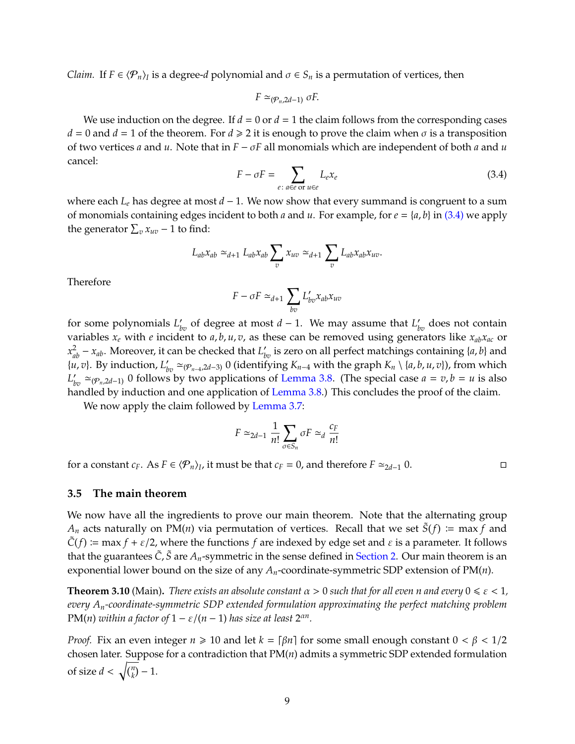*Claim.* If  $F \in \langle \mathcal{P}_n \rangle_I$  is a degree-*d* polynomial and  $\sigma \in S_n$  is a permutation of vertices, then

$$
F \simeq_{(\mathcal{P}_n, 2d-1)} \sigma F.
$$

<span id="page-9-0"></span>We use induction on the degree. If  $d = 0$  or  $d = 1$  the claim follows from the corresponding cases  $d = 0$  and  $d = 1$  of the theorem. For  $d \ge 2$  it is enough to prove the claim when  $\sigma$  is a transposition of two vertices *a* and *u*. Note that in *F* − σ*F* all monomials which are independent of both *a* and *u* cancel:

$$
F - \sigma F = \sum_{e \colon a \in e \text{ or } u \in e} L_e x_e \tag{3.4}
$$

where each *L<sup>e</sup>* has degree at most *d* − 1. We now show that every summand is congruent to a sum of monomials containing edges incident to both *a* and *u*. For example, for  $e = \{a, b\}$  in [\(3.4\)](#page-9-0) we apply the generator  $\sum_{v} x_{uv} - 1$  to find:

$$
L_{ab}x_{ab} \simeq_{d+1} L_{ab}x_{ab} \sum_{v} x_{uv} \simeq_{d+1} \sum_{v} L_{ab}x_{ab}x_{uv}.
$$

Therefore

$$
F - \sigma F \simeq_{d+1} \sum_{bv} L'_{bv} x_{ab} x_{uv}
$$

for some polynomials  $L'_{bv}$  of degree at most  $d-1$ . We may assume that  $L'_{bv}$  does not contain variables *x<sup>e</sup>* with *e* incident to *a*, *b*, *u*, *v*, as these can be removed using generators like *xabxac* or  $x_{ab}^2 - x_{ab}$ . Moreover, it can be checked that  $L'_{bv}$  is zero on all perfect matchings containing {*a*, *b*} and  $\{u, v\}$ . By induction,  $L'_{bv} \simeq (P_{n-4}, 2d-3)$  0 (identifying  $K_{n-4}$  with the graph  $K_n \setminus \{a, b, u, v\}$ ), from which  $L'_{bv}$  ≃( $\varphi$ <sub>*n*</sub>,2*d*−1) 0 follows by two applications of [Lemma 3.8.](#page-8-0) (The special case *a* = *v*, *b* = *u* is also handled by induction and one application of [Lemma 3.8.](#page-8-0)) This concludes the proof of the claim.

We now apply the claim followed by [Lemma 3.7:](#page-8-1)

$$
F \simeq_{2d-1} \frac{1}{n!} \sum_{\sigma \in S_n} \sigma F \simeq_d \frac{c_F}{n!}
$$

for a constant  $c_F$ . As  $F \in \langle \mathcal{P}_n \rangle_I$ , it must be that  $c_F = 0$ , and therefore  $F \simeq_{2d-1} 0$ .

#### **3.5 The main theorem**

We now have all the ingredients to prove our main theorem. Note that the alternating group  $A_n$  acts naturally on PM(*n*) via permutation of vertices. Recall that we set  $\tilde{S}(f) := \max f$  and  $\tilde{C}(f)$  := max *f* +  $\varepsilon$ /2, where the functions *f* are indexed by edge set and  $\varepsilon$  is a parameter. It follows that the guarantees  $\tilde{C}$ ,  $\tilde{S}$  are  $A_n$ -symmetric in the sense defined in [Section 2.](#page-3-0) Our main theorem is an exponential lower bound on the size of any *An*-coordinate-symmetric SDP extension of PM(*n*).

**Theorem 3.10** (Main). *There exists an absolute constant*  $\alpha > 0$  *such that for all even n and every*  $0 \le \epsilon < 1$ *, every An-coordinate-symmetric SDP extended formulation approximating the perfect matching problem* PM(*n*) *within a factor of*  $1 - \varepsilon/(n-1)$  *has size at least*  $2^{\alpha n}$ *.* 

*Proof.* Fix an even integer  $n \ge 10$  and let  $k = \lceil \beta n \rceil$  for some small enough constant  $0 < \beta < 1/2$ chosen later. Suppose for a contradiction that PM(*n*) admits a symmetric SDP extended formulation of size  $d < \sqrt{\binom{n}{k}} - 1$ .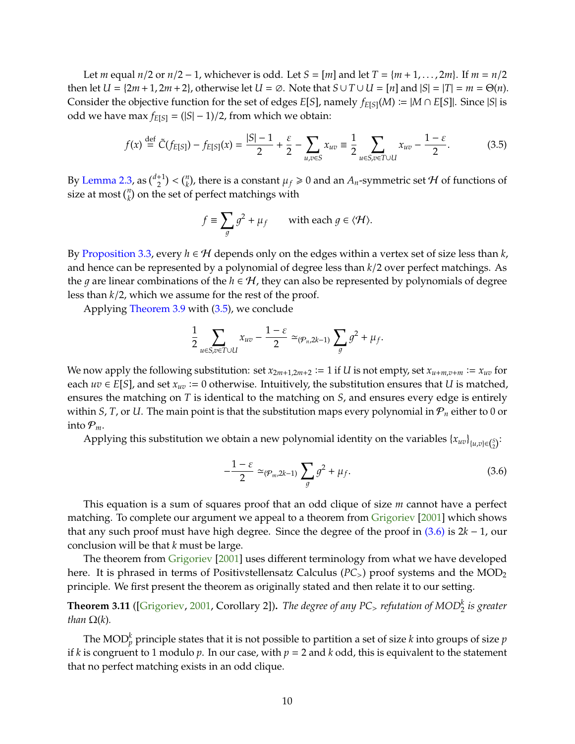<span id="page-10-3"></span>Let *m* equal  $n/2$  or  $n/2 - 1$ , whichever is odd. Let  $S = [m]$  and let  $T = \{m + 1, ..., 2m\}$ . If  $m = n/2$ then let  $U = \{2m + 1, 2m + 2\}$ , otherwise let  $U = \emptyset$ . Note that  $S \cup T \cup U = [n]$  and  $|S| = |T| = m = \Theta(n)$ . Consider the objective function for the set of edges  $E[S]$ , namely  $f_{E[S]}(M) \coloneqq |M \cap E[S]|$ . Since |*S*| is odd we have max  $f_{E[S]}$  = (|S| − 1)/2, from which we obtain:

$$
f(x) \stackrel{\text{def}}{=} \tilde{C}(f_{E[S]}) - f_{E[S]}(x) = \frac{|S|-1}{2} + \frac{\varepsilon}{2} - \sum_{u,v \in S} x_{uv} \equiv \frac{1}{2} \sum_{u \in S, v \in T \cup U} x_{uv} - \frac{1-\varepsilon}{2}.
$$
 (3.5)

By [Lemma 2.3,](#page-4-0) as  $\binom{d+1}{2} < \binom{n}{k}$ , there is a constant  $\mu_f \geq 0$  and an  $A_n$ -symmetric set  $\mathcal H$  of functions of size at most  $\binom{n}{k}$  on the set of perfect matchings with

<span id="page-10-0"></span>
$$
f \equiv \sum_{g} g^2 + \mu_f \qquad \text{with each } g \in \langle \mathcal{H} \rangle.
$$

By [Proposition 3.3,](#page-6-1) every  $h \in H$  depends only on the edges within a vertex set of size less than  $k$ , and hence can be represented by a polynomial of degree less than *k*/2 over perfect matchings. As the *g* are linear combinations of the  $h \in H$ , they can also be represented by polynomials of degree less than *k*/2, which we assume for the rest of the proof.

Applying [Theorem 3.9](#page-8-2) with [\(3.5\)](#page-10-0), we conclude

$$
\frac{1}{2}\sum_{u\in S,v\in T\cup U}x_{uv}-\frac{1-\varepsilon}{2}\simeq_{(\mathcal{P}_n,2k-1)}\sum_gg^2+\mu_f.
$$

We now apply the following substitution: set  $x_{2m+1,2m+2} := 1$  if  $U$  is not empty, set  $x_{u+m,v+m} := x_{uv}$  for each  $uv \in E[S]$ , and set  $x_{uv} := 0$  otherwise. Intuitively, the substitution ensures that *U* is matched, ensures the matching on *T* is identical to the matching on *S*, and ensures every edge is entirely within *S*, *T*, or *U*. The main point is that the substitution maps every polynomial in  $P_n$  either to 0 or into  $P_m$ .

Applying this substitution we obtain a new polynomial identity on the variables  $\{x_{uv}\}_{(u,v)\in\binom{S}{2}}$ .

<span id="page-10-1"></span>
$$
-\frac{1-\varepsilon}{2} \simeq_{(\mathcal{P}_m, 2k-1)} \sum_g g^2 + \mu_f. \tag{3.6}
$$

This equation is a sum of squares proof that an odd clique of size *m* cannot have a perfect matching. To complete our argument we appeal to a theorem from [Grigoriev](#page-18-14) [\[2001\]](#page-18-14) which shows that any such proof must have high degree. Since the degree of the proof in [\(3.6\)](#page-10-1) is 2*k* − 1, our conclusion will be that *k* must be large.

The theorem from [Grigoriev](#page-18-14) [\[2001\]](#page-18-14) uses different terminology from what we have developed here. It is phrased in terms of Positivstellensatz Calculus (PC<sub>></sub>) proof systems and the MOD<sub>2</sub> principle. We first present the theorem as originally stated and then relate it to our setting.

<span id="page-10-2"></span>**Theorem 3.11** ([\[Grigoriev,](#page-18-14) [2001,](#page-18-14) Corollary 2])**.** *The degree of any PC*<sup>&</sup>gt; *refutation of MOD<sup>k</sup>* 2 *is greater than*  $\Omega(k)$ *.* 

The MOD $^k_p$  principle states that it is not possible to partition a set of size  $k$  into groups of size  $p$ if *k* is congruent to 1 modulo *p*. In our case, with  $p = 2$  and *k* odd, this is equivalent to the statement that no perfect matching exists in an odd clique.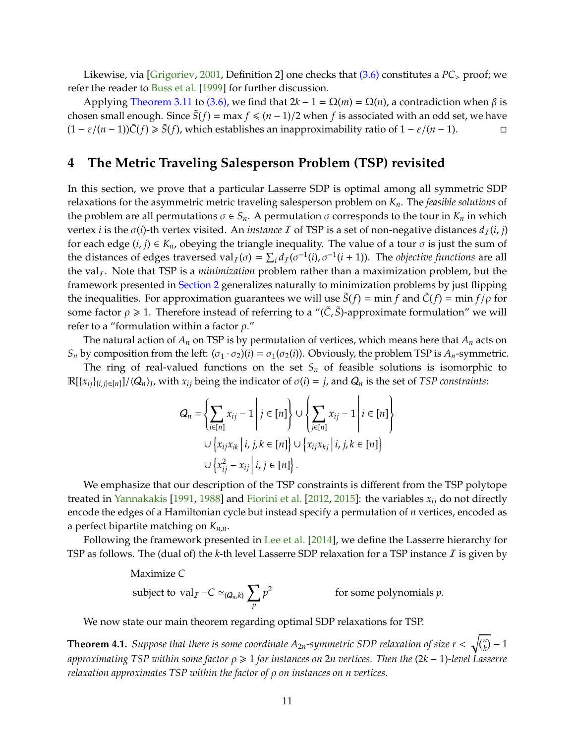<span id="page-11-1"></span>Likewise, via [\[Grigoriev,](#page-18-14) [2001,](#page-18-14) Definition 2] one checks that [\(3.6\)](#page-10-1) constitutes a *PC*<sup>&</sup>gt; proof; we refer the reader to [Buss et al.](#page-17-13) [\[1999\]](#page-17-13) for further discussion.

Applying [Theorem 3.11](#page-10-2) to [\(3.6\),](#page-10-1) we find that  $2k - 1 = Ω(m) = Ω(n)$ , a contradiction when β is chosen small enough. Since  $\tilde{S}(f) = \max f \leq (n-1)/2$  when f is associated with an odd set, we have  $(1 - \varepsilon/(n-1))\tilde{C}(f) \ge \tilde{S}(f)$ , which establishes an inapproximability ratio of  $1 - \varepsilon/(n-1)$ . □

### **4 The Metric Traveling Salesperson Problem (TSP) revisited**

In this section, we prove that a particular Lasserre SDP is optimal among all symmetric SDP relaxations for the asymmetric metric traveling salesperson problem on *Kn*. The *feasible solutions* of the problem are all permutations  $\sigma \in S_n$ . A permutation  $\sigma$  corresponds to the tour in  $K_n$  in which vertex *i* is the  $\sigma(i)$ -th vertex visited. An *instance I* of TSP is a set of non-negative distances  $d_I(i, j)$ for each edge  $(i, j) \in K_n$ , obeying the triangle inequality. The value of a tour  $\sigma$  is just the sum of the distances of edges traversed val<sub>I</sub>( $\sigma$ ) =  $\sum_i d_i(\sigma^{-1}(i), \sigma^{-1}(i+1))$ . The *objective functions* are all the val<sub>I</sub>. Note that TSP is a *minimization* problem rather than a maximization problem, but the framework presented in [Section 2](#page-3-0) generalizes naturally to minimization problems by just flipping the inequalities. For approximation guarantees we will use  $S(f) = \min f$  and  $\tilde{C}(f) = \min f/\rho$  for some factor  $\rho \ge 1$ . Therefore instead of referring to a "( $\tilde{C}$ ,  $\tilde{S}$ )-approximate formulation" we will refer to a "formulation within a factor  $\rho$ ."

The natural action of  $A_n$  on TSP is by permutation of vertices, which means here that  $A_n$  acts on *S<sub>n</sub>* by composition from the left:  $(\sigma_1 \cdot \sigma_2)(i) = \sigma_1(\sigma_2(i))$ . Obviously, the problem TSP is  $A_n$ -symmetric.

The ring of real-valued functions on the set  $S_n$  of feasible solutions is isomorphic to  $\mathbb{R}[\{x_{ij}\}_{i,j\in[n]}]/\langle Q_n \rangle_I$ , with  $x_{ij}$  being the indicator of  $\sigma(i) = j$ , and  $Q_n$  is the set of *TSP constraints*:

$$
Q_n = \left\{ \sum_{i \in [n]} x_{ij} - 1 \middle| j \in [n] \right\} \cup \left\{ \sum_{j \in [n]} x_{ij} - 1 \middle| i \in [n] \right\}
$$
  

$$
\cup \left\{ x_{ij} x_{ik} \middle| i, j, k \in [n] \right\} \cup \left\{ x_{ij} x_{kj} \middle| i, j, k \in [n] \right\}
$$
  

$$
\cup \left\{ x_{ij}^2 - x_{ij} \middle| i, j \in [n] \right\}.
$$

We emphasize that our description of the TSP constraints is different from the TSP polytope treated in [Yannakakis](#page-18-0) [\[1991,](#page-18-0) [1988\]](#page-18-1) and [Fiorini et al.](#page-18-10) [\[2012,](#page-18-10) [2015\]](#page-18-11): the variables *xij* do not directly encode the edges of a Hamiltonian cycle but instead specify a permutation of *n* vertices, encoded as a perfect bipartite matching on *Kn*,*n*.

Following the framework presented in [Lee et al.](#page-18-13) [\[2014\]](#page-18-13), we define the Lasserre hierarchy for TSP as follows. The (dual of) the  $k$ -th level Lasserre SDP relaxation for a TSP instance  $I$  is given by

Maximize *C*  
subject to val<sub>*I*</sub> - *C* 
$$
\simeq_{(Q_n,k)} \sum_p p^2
$$
 for some polynomials *p*.

We now state our main theorem regarding optimal SDP relaxations for TSP.

<span id="page-11-0"></span>**Theorem 4.1.** Suppose that there is some coordinate  $A_{2n}$ -symmetric SDP relaxation of size  $r < \sqrt{\binom{n}{k}} - 1$ *approximating TSP within some factor* ρ > 1 *for instances on* 2*n vertices. Then the* (2*k* − 1)*-level Lasserre relaxation approximates TSP within the factor of* ρ *on instances on n vertices.*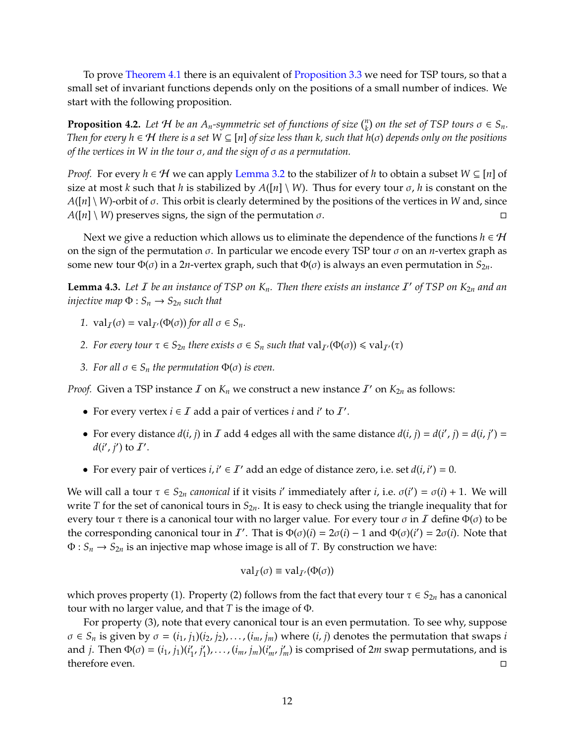To prove [Theorem 4.1](#page-11-0) there is an equivalent of [Proposition 3.3](#page-6-1) we need for TSP tours, so that a small set of invariant functions depends only on the positions of a small number of indices. We start with the following proposition.

<span id="page-12-1"></span>**Proposition 4.2.** Let  $H$  be an  $A_n$ -symmetric set of functions of size  $\binom{n}{k}$  on the set of TSP tours  $\sigma \in S_n$ . *Then for every h* ∈ H *there is a set W* ⊆ [*n*] *of size less than k, such that h*(σ) *depends only on the positions of the vertices in W in the tour* σ*, and the sign of* σ *as a permutation.*

*Proof.* For every  $h \in \mathcal{H}$  we can apply [Lemma 3.2](#page-6-0) to the stabilizer of *h* to obtain a subset  $W \subseteq [n]$  of size at most *k* such that *h* is stabilized by  $A([n] \setminus W)$ . Thus for every tour  $\sigma$ , *h* is constant on the *A*([*n*] \ *W*)-orbit of σ. This orbit is clearly determined by the positions of the vertices in *W* and, since  $A([n] \setminus W)$  preserves signs, the sign of the permutation  $\sigma$ .

Next we give a reduction which allows us to eliminate the dependence of the functions  $h \in \mathcal{H}$ on the sign of the permutation  $\sigma$ . In particular we encode every TSP tour  $\sigma$  on an *n*-vertex graph as some new tour  $\Phi(\sigma)$  in a 2*n*-vertex graph, such that  $\Phi(\sigma)$  is always an even permutation in  $S_{2n}$ .

<span id="page-12-0"></span>**Lemma 4.3.** Let  $I$  be an instance of TSP on  $K_n$ . Then there exists an instance  $I'$  of TSP on  $K_{2n}$  and an *injective map*  $\Phi$  :  $S_n \rightarrow S_{2n}$  *such that* 

- *1.*  $\operatorname{val}_I(\sigma) = \operatorname{val}_{I'}(\Phi(\sigma))$  *for all*  $\sigma \in S_n$ *.*
- *2. For every tour*  $\tau \in S_{2n}$  *there exists*  $\sigma \in S_n$  *such that*  $val_{\mathcal{I}'}(\Phi(\sigma)) \leq val_{\mathcal{I}'}(\tau)$
- *3. For all*  $\sigma \in S_n$  *the permutation*  $\Phi(\sigma)$  *is even.*

*Proof.* Given a TSP instance  $\mathcal I$  on  $K_n$  we construct a new instance  $\mathcal I'$  on  $K_{2n}$  as follows:

- For every vertex *i*  $\in I$  add a pair of vertices *i* and *i'* to *I'*.
- For every distance  $d(i, j)$  in  $I$  add 4 edges all with the same distance  $d(i, j) = d(i', j) = d(i, j') =$  $d(i', j')$  to  $I'$ .
- For every pair of vertices  $i, i' \in I'$  add an edge of distance zero, i.e. set  $d(i, i') = 0$ .

We will call a tour  $\tau \in S_{2n}$  *canonical* if it visits *i'* immediately after *i*, i.e.  $\sigma(i') = \sigma(i) + 1$ . We will write *T* for the set of canonical tours in *S*2*n*. It is easy to check using the triangle inequality that for every tour  $\tau$  there is a canonical tour with no larger value. For every tour  $\sigma$  in  $\tau$  define  $\Phi(\sigma)$  to be the corresponding canonical tour in *I'*. That is  $\Phi(\sigma)(i) = 2\sigma(i) - 1$  and  $\Phi(\sigma)(i') = 2\sigma(i)$ . Note that  $\Phi: S_n \to S_{2n}$  is an injective map whose image is all of *T*. By construction we have:

$$
\mathrm{val}_I(\sigma) \equiv \mathrm{val}_{I'}(\Phi(\sigma))
$$

which proves property (1). Property (2) follows from the fact that every tour  $\tau \in S_{2n}$  has a canonical tour with no larger value, and that *T* is the image of Φ.

For property (3), note that every canonical tour is an even permutation. To see why, suppose  $\sigma \in S_n$  is given by  $\sigma = (i_1, j_1)(i_2, j_2), \ldots, (i_m, j_m)$  where  $(i, j)$  denotes the permutation that swaps *i* and *j*. Then  $\Phi(\sigma) = (i_1, j_1)(i'_1)$  $'_{1'}j'_{1}$  $\mathbf{I}'_1$ ,...,  $(i_m, j_m)(i'_m, j'_m)$  is comprised of 2*m* swap permutations, and is therefore even.  $\Box$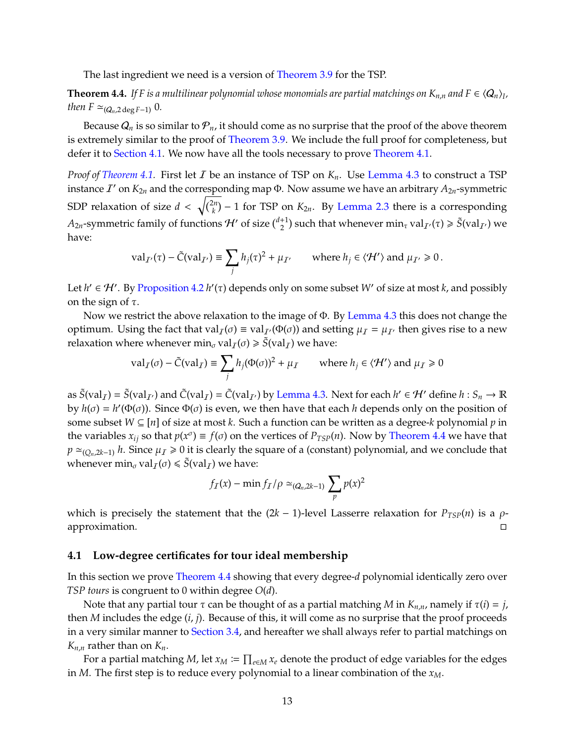The last ingredient we need is a version of [Theorem 3.9](#page-8-2) for the TSP.

<span id="page-13-1"></span>**Theorem 4.4.** If F is a multilinear polynomial whose monomials are partial matchings on  $K_{n,n}$  and  $F \in \langle Q_n \rangle_I$ , *then*  $F \simeq_{(Q_n, 2 \deg F - 1)} 0$ .

Because  $Q_n$  is so similar to  $\mathcal{P}_n$ , it should come as no surprise that the proof of the above theorem is extremely similar to the proof of [Theorem 3.9.](#page-8-2) We include the full proof for completeness, but defer it to [Section 4.1.](#page-13-0) We now have all the tools necessary to prove [Theorem 4.1.](#page-11-0)

*Proof of [Theorem 4.1.](#page-11-0)* First let I be an instance of TSP on *Kn*. Use [Lemma 4.3](#page-12-0) to construct a TSP instance  $I'$  on  $K_{2n}$  and the corresponding map  $\Phi$ . Now assume we have an arbitrary  $A_{2n}$ -symmetric SDP relaxation of size  $d < \sqrt{\binom{2n}{k}} - 1$  for TSP on  $K_{2n}$ . By [Lemma 2.3](#page-4-0) there is a corresponding  $A_{2n}$ -symmetric family of functions  $H'$  of size  $\binom{d+1}{2}$  such that whenever  $\min_{\tau} \text{val}_{I'}(\tau) \geq \tilde{S}(\text{val}_{I'})$  we have:

$$
\mathrm{val}_{\mathcal{I}'}(\tau) - \tilde{C}(\mathrm{val}_{\mathcal{I}'}) \equiv \sum_{j} h_j(\tau)^2 + \mu_{\mathcal{I}'} \qquad \text{where } h_j \in \langle \mathcal{H}' \rangle \text{ and } \mu_{\mathcal{I}'} \geq 0 \,.
$$

Let  $h' \in H'$ . By [Proposition 4.2](#page-12-1)  $h'(\tau)$  depends only on some subset W' of size at most *k*, and possibly on the sign of  $τ$ .

Now we restrict the above relaxation to the image of Φ. By [Lemma 4.3](#page-12-0) this does not change the optimum. Using the fact that val<sub>I</sub>(σ) = val<sub>I</sub>(Φ(σ)) and setting  $\mu_I = \mu_{I}$  then gives rise to a new relaxation where whenever min<sub>σ</sub> val<sub>*I*</sub>( $\sigma$ )  $\geq \tilde{S}$ (val<sub>*I*</sub>) we have:

$$
\operatorname{val}_I(\sigma) - \tilde{C}(\operatorname{val}_I) \equiv \sum_j h_j(\Phi(\sigma))^2 + \mu_I \qquad \text{where } h_j \in \langle \mathcal{H}' \rangle \text{ and } \mu_I \ge 0
$$

as  $\tilde{S}(val_{\tilde{I}}) = \tilde{S}(val_{\tilde{I}'})$  and  $\tilde{C}(val_{\tilde{I}}) = \tilde{C}(val_{\tilde{I}'})$  by [Lemma 4.3.](#page-12-0) Next for each  $h' \in H'$  define  $h : S_n \to \mathbb{R}$ by  $h(\sigma) = h'(\Phi(\sigma))$ . Since  $\Phi(\sigma)$  is even, we then have that each *h* depends only on the position of some subset *W* ⊆ [*n*] of size at most *k*. Such a function can be written as a degree-*k* polynomial *p* in the variables  $x_{ij}$  so that  $p(x^{\sigma}) \equiv f(\sigma)$  on the vertices of  $P_{TSP}(n)$ . Now by [Theorem 4.4](#page-13-1) we have that *p*  $\approx$ <sub>(*Qn*,2*k*−1)</sub> *h*. Since  $\mu$ <sub>*I*</sub>  $\ge$  0 it is clearly the square of a (constant) polynomial, and we conclude that whenever  $\min_{\sigma} \text{val}_{I}(\sigma) \leq \tilde{S}(\text{val}_{I})$  we have:

$$
f_I(x) - \min f_I / \rho \simeq_{(Q_n, 2k-1)} \sum_p p(x)^2
$$

which is precisely the statement that the  $(2k - 1)$ -level Lasserre relaxation for  $P_{TSP}(n)$  is a  $\rho$ approximation.

#### <span id="page-13-0"></span>**4.1 Low-degree certificates for tour ideal membership**

In this section we prove [Theorem 4.4](#page-13-1) showing that every degree-*d* polynomial identically zero over *TSP tours* is congruent to 0 within degree *O*(*d*).

Note that any partial tour *τ* can be thought of as a partial matching *M* in  $K_{n,n}$ , namely if  $τ(i) = j$ , then *M* includes the edge (*i*, *j*). Because of this, it will come as no surprise that the proof proceeds in a very similar manner to [Section 3.4,](#page-8-3) and hereafter we shall always refer to partial matchings on *K*<sub>*n*,*n*</sub> rather than on *K*<sub>*n*</sub>.

<span id="page-13-2"></span>For a partial matching M, let  $x_M \coloneqq \prod_{e \in M} x_e$  denote the product of edge variables for the edges in *M*. The first step is to reduce every polynomial to a linear combination of the *xM*.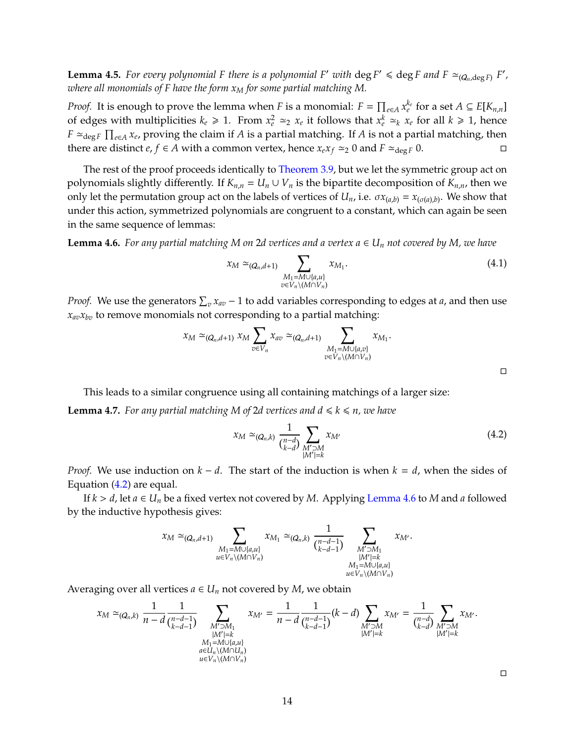**Lemma 4.5.** For every polynomial F there is a polynomial F' with  $\deg F' \leq \deg F$  and  $F \simeq_{(Q_n, \deg F)} F'$ , *where all monomials of F have the form x<sup>M</sup> for some partial matching M.*

*Proof.* It is enough to prove the lemma when *F* is a monomial:  $F = \prod_{e \in A} x_e^{k_e}$  for a set  $A \subseteq E[K_{n,n}]$ of edges with multiplicities  $k_e \ge 1$ . From  $x_e^2 \simeq_2 x_e$  it follows that  $x_e^k \simeq_k x_e$  for all  $k \ge 1$ , hence *F*  $\simeq$ <sub>deg *F*</sub>  $\prod_{e \in A} x_e$ , proving the claim if *A* is a partial matching. If *A* is not a partial matching, then there are distinct *e*, *f* ∈ *A* with a common vertex, hence  $x_e x_f \approx 0$  and  $F \approx \text{deg } F$  0.

The rest of the proof proceeds identically to [Theorem 3.9,](#page-8-2) but we let the symmetric group act on polynomials slightly differently. If  $K_{n,n} = U_n \cup V_n$  is the bipartite decomposition of  $K_{n,n}$ , then we only let the permutation group act on the labels of vertices of  $U_n$ , i.e.  $\sigma x_{(a,b)} = x_{(\sigma(a),b)}.$  We show that under this action, symmetrized polynomials are congruent to a constant, which can again be seen in the same sequence of lemmas:

<span id="page-14-1"></span>**Lemma 4.6.** For any partial matching M on 2d vertices and a vertex  $a \in U_n$  not covered by M, we have

$$
x_M \simeq_{(Q_n,d+1)} \sum_{\substack{M_1=M\cup\{a,u\} \\ v\in V_n\setminus(M\cap V_n)}} x_{M_1}.
$$
\n(4.1)

*Proof.* We use the generators  $\sum_{v} x_{av} - 1$  to add variables corresponding to edges at *a*, and then use  $x_{av}x_{bv}$  to remove monomials not corresponding to a partial matching:

$$
x_M \simeq_{(Q_n,d+1)} x_M \sum_{v \in V_n} x_{av} \simeq_{(Q_n,d+1)} \sum_{\substack{M_1 = M \cup \{a,v\} \\ v \in V_n \setminus (M \cap V_n)}} x_{M_1}.
$$

<span id="page-14-2"></span>This leads to a similar congruence using all containing matchings of a larger size: **Lemma 4.7.** *For any partial matching M of 2d vertices and*  $d \le k \le n$ *, we have* 

<span id="page-14-0"></span>
$$
x_M \simeq_{(Q_n,k)} \frac{1}{\binom{n-d}{k-d}} \sum_{\substack{M' \supset M \\ |M'|=k}} x_{M'}
$$
 (4.2)

*Proof.* We use induction on *k* − *d*. The start of the induction is when *k* = *d*, when the sides of Equation [\(4.2\)](#page-14-0) are equal.

If  $k > d$ , let  $a \in U_n$  be a fixed vertex not covered by *M*. Applying [Lemma 4.6](#page-14-1) to *M* and *a* followed by the inductive hypothesis gives:

$$
x_M \simeq_{(Q_n,d+1)} \sum_{\substack{M_1=M\cup\{a,u\} \\ u\in V_n\setminus (M\cap V_n)}} x_{M_1} \simeq_{(Q_n,k)} \frac{1}{\binom{n-d-1}{k-d-1}} \sum_{\substack{M'\supset M_1 \\ |M'|=k \\ M_1=M\cup\{a,u\} \\ u\in V_n\setminus (M\cap V_n)}} x_{M'}.
$$

Averaging over all vertices  $a \in U_n$  not covered by *M*, we obtain

<span id="page-14-3"></span>
$$
x_M \simeq_{(Q_n,k)} \frac{1}{n-d} \frac{1}{\binom{n-d-1}{k-d-1}} \sum_{\substack{M' \supset M_1 \\ |M'|=k \\ M_1=M \cup \{a,u\} \\ a \in U_n \setminus (M \cap U_n)}} x_{M'} = \frac{1}{n-d} \frac{1}{\binom{n-d-1}{k-d-1}} (k-d) \sum_{\substack{M' \supset M \\ |M'|=k \\ |M'|=k}} x_{M'} = \frac{1}{\binom{n-d}{k-d}} \sum_{\substack{M' \supset M \\ |M'|=k \\ |M'|=k}} x_{M'}.
$$

 $\Box$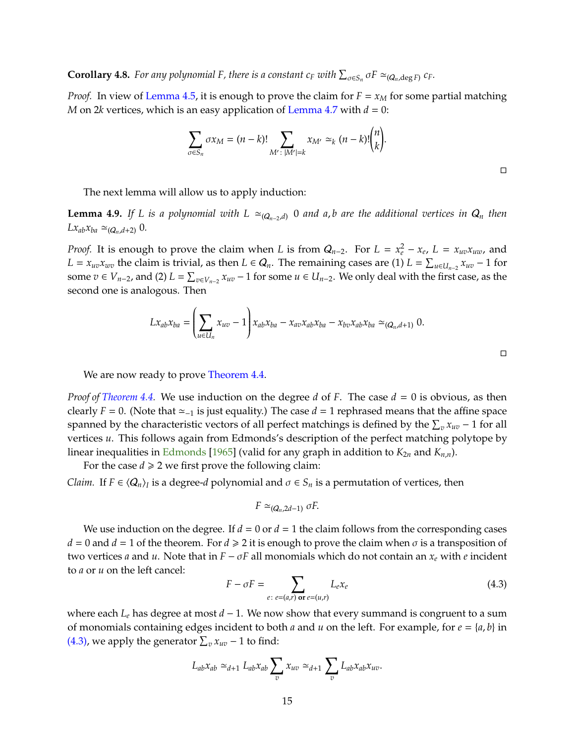<span id="page-15-2"></span>**Corollary 4.8.** For any polynomial F, there is a constant  $c_F$  with  $\sum_{\sigma \in S_n} \sigma F \simeq_{(Q_n, \deg F)} c_F$ .

*Proof.* In view of [Lemma 4.5,](#page-13-2) it is enough to prove the claim for  $F = x_M$  for some partial matching *M* on 2*k* vertices, which is an easy application of [Lemma 4.7](#page-14-2) with  $d = 0$ :

$$
\sum_{\sigma \in S_n} \sigma x_M = (n-k)! \sum_{M': \; |M'|=k} x_{M'} \simeq_k (n-k)! {n \choose k}.
$$

 $\Box$ 

The next lemma will allow us to apply induction:

<span id="page-15-1"></span>**Lemma 4.9.** *If L is a polynomial with L*  $\simeq_{(Q_n-2,d)}$  0 *and a,b are the additional vertices in*  $Q_n$  *then*  $Lx_{ab}x_{ba} \simeq_{(Q_n,d+2)} 0$ .

*Proof.* It is enough to prove the claim when *L* is from  $Q_{n-2}$ . For  $L = x_e^2 - x_e$ ,  $L = x_{uv}x_{uw}$ , and *L* =  $x_{uv}x_{uv}$  the claim is trivial, as then *L* ∈  $Q_n$ . The remaining cases are (1) *L* =  $\sum_{u \in U_{n-2}} x_{uv} - 1$  for some  $v \in V_{n-2}$ , and (2)  $L = \sum_{v \in V_{n-2}} x_{uv} - 1$  for some  $u \in U_{n-2}$ . We only deal with the first case, as the second one is analogous. Then

$$
Lx_{ab}x_{ba} = \left(\sum_{u \in U_n} x_{uv} - 1\right) x_{ab}x_{ba} - x_{av}x_{ab}x_{ba} - x_{bv}x_{ab}x_{ba} \simeq_{(Q_n, d+1)} 0.
$$

We are now ready to prove [Theorem 4.4.](#page-13-1)

*Proof of [Theorem 4.4.](#page-13-1)* We use induction on the degree *d* of *F*. The case *d* = 0 is obvious, as then clearly *F* = 0. (Note that  $\simeq_{-1}$  is just equality.) The case *d* = 1 rephrased means that the affine space spanned by the characteristic vectors of all perfect matchings is defined by the  $\sum_{v} x_{uv} - 1$  for all vertices *u*. This follows again from Edmonds's description of the perfect matching polytope by linear inequalities in [Edmonds](#page-17-12) [\[1965\]](#page-17-12) (valid for any graph in addition to  $K_{2n}$  and  $K_{n,n}$ ).

For the case  $d \ge 2$  we first prove the following claim: *Claim.* If  $F \in \langle Q_n \rangle$ <sub>*I*</sub> is a degree-*d* polynomial and  $\sigma \in S_n$  is a permutation of vertices, then

$$
F \simeq_{(Q_n,2d-1)} \sigma F.
$$

We use induction on the degree. If  $d = 0$  or  $d = 1$  the claim follows from the corresponding cases  $d = 0$  and  $d = 1$  of the theorem. For  $d \ge 2$  it is enough to prove the claim when  $\sigma$  is a transposition of two vertices *a* and *u*. Note that in  $F - \sigma F$  all monomials which do not contain an  $x_e$  with *e* incident to *a* or *u* on the left cancel:

<span id="page-15-0"></span>
$$
F - \sigma F = \sum_{e: e = (a,r) \text{ or } e = (u,r)} L_e x_e \tag{4.3}
$$

where each *L<sup>e</sup>* has degree at most *d* − 1. We now show that every summand is congruent to a sum of monomials containing edges incident to both *a* and *u* on the left. For example, for  $e = \{a, b\}$  in [\(4.3\),](#page-15-0) we apply the generator  $\sum_{v} x_{uv} - 1$  to find:

$$
L_{ab}x_{ab} \simeq_{d+1} L_{ab}x_{ab} \sum_{v} x_{uv} \simeq_{d+1} \sum_{v} L_{ab}x_{ab}x_{uv}.
$$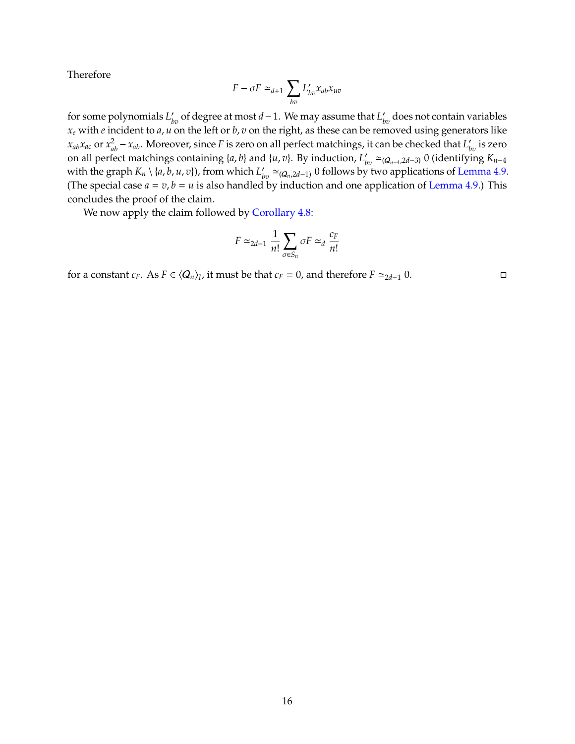Therefore

$$
F - \sigma F \simeq_{d+1} \sum_{bv} L'_{bv} x_{ab} x_{uv}
$$

for some polynomials  $L'_{bv}$  of degree at most *d* − 1. We may assume that  $L'_{bv}$  does not contain variables *x<sup>e</sup>* with *e* incident to *a*, *u* on the left or *b*, *v* on the right, as these can be removed using generators like  $x_{ab}x_{ac}$  or  $x_{ab}^2 - x_{ab}$ . Moreover, since *F* is zero on all perfect matchings, it can be checked that  $L'_{bv}$  is zero on all perfect matchings containing  $\{a, b\}$  and  $\{u, v\}$ . By induction,  $L'_{bv} \simeq_{(Q_{n-4}, 2d-3)} 0$  (identifying  $K_{n-4}$ with the graph  $K_n \setminus \{a, b, u, v\}$ , from which  $L'_{bv} \simeq_{(Q_n, 2d-1)} 0$  follows by two applications of [Lemma 4.9.](#page-15-1) (The special case  $a = v$ ,  $b = u$  is also handled by induction and one application of [Lemma 4.9.](#page-15-1)) This concludes the proof of the claim.

We now apply the claim followed by [Corollary 4.8:](#page-14-3)

$$
F \simeq_{2d-1} \frac{1}{n!} \sum_{\sigma \in S_n} \sigma F \simeq_d \frac{c_F}{n!}
$$

for a constant  $c_F$ . As  $F \in \langle Q_n \rangle_I$ , it must be that  $c_F = 0$ , and therefore  $F \simeq_{2d-1} 0$ .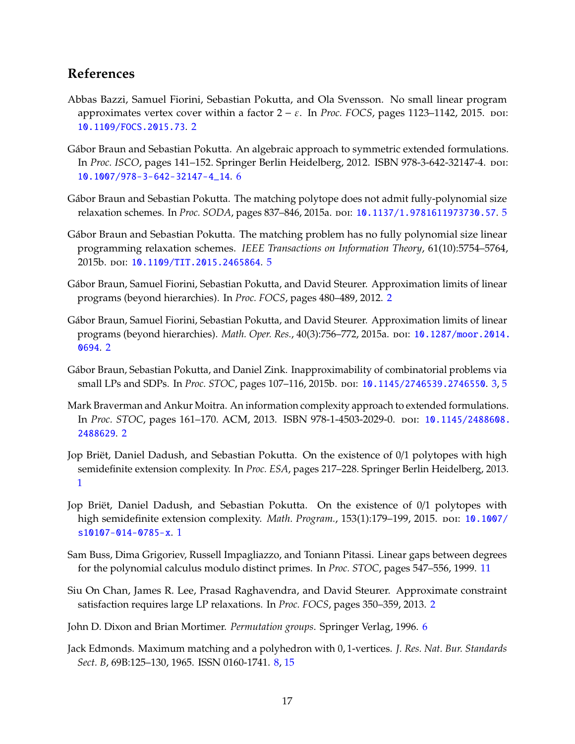## **References**

- <span id="page-17-6"></span>Abbas Bazzi, Samuel Fiorini, Sebastian Pokutta, and Ola Svensson. No small linear program approximates vertex cover within a factor  $2 - \varepsilon$ . In *Proc. FOCS*, pages 1123–1142, 2015. poi: [10.1109/FOCS.2015.73](http://dx.doi.org/10.1109/FOCS.2015.73). [2](#page-2-0)
- <span id="page-17-10"></span>Gábor Braun and Sebastian Pokutta. An algebraic approach to symmetric extended formulations. In *Proc. ISCO*, pages 141–152. Springer Berlin Heidelberg, 2012. ISBN 978-3-642-32147-4. doi: [10.1007/978-3-642-32147-4\\_14](http://dx.doi.org/10.1007/978-3-642-32147-4_14). [6](#page-6-2)
- <span id="page-17-8"></span>Gábor Braun and Sebastian Pokutta. The matching polytope does not admit fully-polynomial size relaxation schemes. In *Proc. SODA*, pages 837–846, 2015a. doi: [10.1137/1.9781611973730.57](http://dx.doi.org/10.1137/1.9781611973730.57). [5](#page-5-1)
- <span id="page-17-9"></span>Gábor Braun and Sebastian Pokutta. The matching problem has no fully polynomial size linear programming relaxation schemes. *IEEE Transactions on Information Theory*, 61(10):5754–5764, 2015b. doi: [10.1109/TIT.2015.2465864](http://dx.doi.org/10.1109/TIT.2015.2465864). [5](#page-5-1)
- <span id="page-17-2"></span>Gábor Braun, Samuel Fiorini, Sebastian Pokutta, and David Steurer. Approximation limits of linear programs (beyond hierarchies). In *Proc. FOCS*, pages 480–489, 2012. [2](#page-2-0)
- <span id="page-17-3"></span>Gábor Braun, Samuel Fiorini, Sebastian Pokutta, and David Steurer. Approximation limits of linear programs (beyond hierarchies). *Math. Oper. Res.*, 40(3):756–772, 2015a. doi: [10.1287/moor.2014.](http://dx.doi.org/10.1287/moor.2014.0694) [0694](http://dx.doi.org/10.1287/moor.2014.0694). [2](#page-2-0)
- <span id="page-17-7"></span>Gábor Braun, Sebastian Pokutta, and Daniel Zink. Inapproximability of combinatorial problems via small LPs and SDPs. In *Proc. STOC*, pages 107–116, 2015b. doi: [10.1145/2746539.2746550](http://dx.doi.org/10.1145/2746539.2746550). [3,](#page-3-1) [5](#page-5-1)
- <span id="page-17-5"></span>Mark Braverman and Ankur Moitra. An information complexity approach to extended formulations. In *Proc. STOC*, pages 161–170. ACM, 2013. ISBN 978-1-4503-2029-0. doi: [10.1145/2488608.](http://dx.doi.org/10.1145/2488608.2488629) [2488629](http://dx.doi.org/10.1145/2488608.2488629). [2](#page-2-0)
- <span id="page-17-0"></span>Jop Briët, Daniel Dadush, and Sebastian Pokutta. On the existence of 0/1 polytopes with high semidefinite extension complexity. In *Proc. ESA*, pages 217–228. Springer Berlin Heidelberg, 2013. [1](#page-0-0)
- <span id="page-17-1"></span>Jop Briët, Daniel Dadush, and Sebastian Pokutta. On the existence of 0/1 polytopes with high semidefinite extension complexity. *Math. Program.*, 153(1):179–199, 2015. poi: [10.1007/](http://dx.doi.org/10.1007/s10107-014-0785-x) [s10107-014-0785-x](http://dx.doi.org/10.1007/s10107-014-0785-x). [1](#page-0-0)
- <span id="page-17-13"></span>Sam Buss, Dima Grigoriev, Russell Impagliazzo, and Toniann Pitassi. Linear gaps between degrees for the polynomial calculus modulo distinct primes. In *Proc. STOC*, pages 547–556, 1999. [11](#page-11-1)
- <span id="page-17-4"></span>Siu On Chan, James R. Lee, Prasad Raghavendra, and David Steurer. Approximate constraint satisfaction requires large LP relaxations. In *Proc. FOCS*, pages 350–359, 2013. [2](#page-2-0)
- <span id="page-17-11"></span>John D. Dixon and Brian Mortimer. *Permutation groups*. Springer Verlag, 1996. [6](#page-6-2)
- <span id="page-17-12"></span>Jack Edmonds. Maximum matching and a polyhedron with 0, 1-vertices. *J. Res. Nat. Bur. Standards Sect. B*, 69B:125–130, 1965. ISSN 0160-1741. [8,](#page-8-4) [15](#page-15-2)